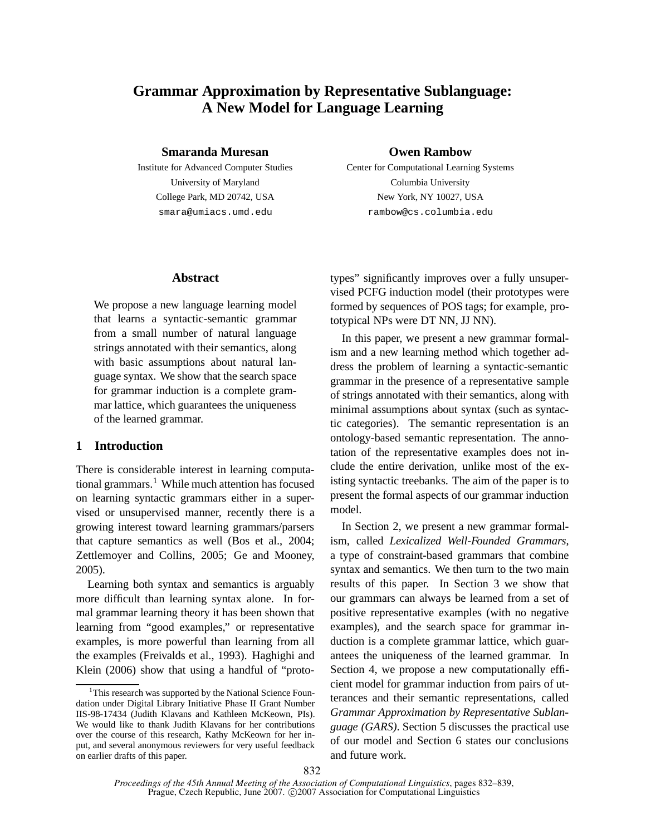# **Grammar Approximation by Representative Sublanguage: A New Model for Language Learning**

### **Smaranda Muresan**

Institute for Advanced Computer Studies University of Maryland College Park, MD 20742, USA smara@umiacs.umd.edu

### **Owen Rambow**

Center for Computational Learning Systems Columbia University New York, NY 10027, USA rambow@cs.columbia.edu

## **Abstract**

We propose a new language learning model that learns a syntactic-semantic grammar from a small number of natural language strings annotated with their semantics, along with basic assumptions about natural language syntax. We show that the search space for grammar induction is a complete grammar lattice, which guarantees the uniqueness of the learned grammar.

# **1 Introduction**

There is considerable interest in learning computational grammars.<sup>1</sup> While much attention has focused on learning syntactic grammars either in a supervised or unsupervised manner, recently there is a growing interest toward learning grammars/parsers that capture semantics as well (Bos et al., 2004; Zettlemoyer and Collins, 2005; Ge and Mooney, 2005).

Learning both syntax and semantics is arguably more difficult than learning syntax alone. In formal grammar learning theory it has been shown that learning from "good examples," or representative examples, is more powerful than learning from all the examples (Freivalds et al., 1993). Haghighi and Klein (2006) show that using a handful of "prototypes" significantly improves over a fully unsupervised PCFG induction model (their prototypes were formed by sequences of POS tags; for example, prototypical NPs were DT NN, JJ NN).

In this paper, we present a new grammar formalism and a new learning method which together address the problem of learning a syntactic-semantic grammar in the presence of a representative sample of strings annotated with their semantics, along with minimal assumptions about syntax (such as syntactic categories). The semantic representation is an ontology-based semantic representation. The annotation of the representative examples does not include the entire derivation, unlike most of the existing syntactic treebanks. The aim of the paper is to present the formal aspects of our grammar induction model.

In Section 2, we present a new grammar formalism, called *Lexicalized Well-Founded Grammars*, a type of constraint-based grammars that combine syntax and semantics. We then turn to the two main results of this paper. In Section 3 we show that our grammars can always be learned from a set of positive representative examples (with no negative examples), and the search space for grammar induction is a complete grammar lattice, which guarantees the uniqueness of the learned grammar. In Section 4, we propose a new computationally efficient model for grammar induction from pairs of utterances and their semantic representations, called *Grammar Approximation by Representative Sublanguage (GARS)*. Section 5 discusses the practical use of our model and Section 6 states our conclusions and future work.

<sup>&</sup>lt;sup>1</sup>This research was supported by the National Science Foundation under Digital Library Initiative Phase II Grant Number IIS-98-17434 (Judith Klavans and Kathleen McKeown, PIs). We would like to thank Judith Klavans for her contributions over the course of this research, Kathy McKeown for her input, and several anonymous reviewers for very useful feedback on earlier drafts of this paper.

*Proceedings of the 45th Annual Meeting of the Association of Computational Linguistics*, pages 832–839, Prague, Czech Republic, June 2007. © 2007 Association for Computational Linguistics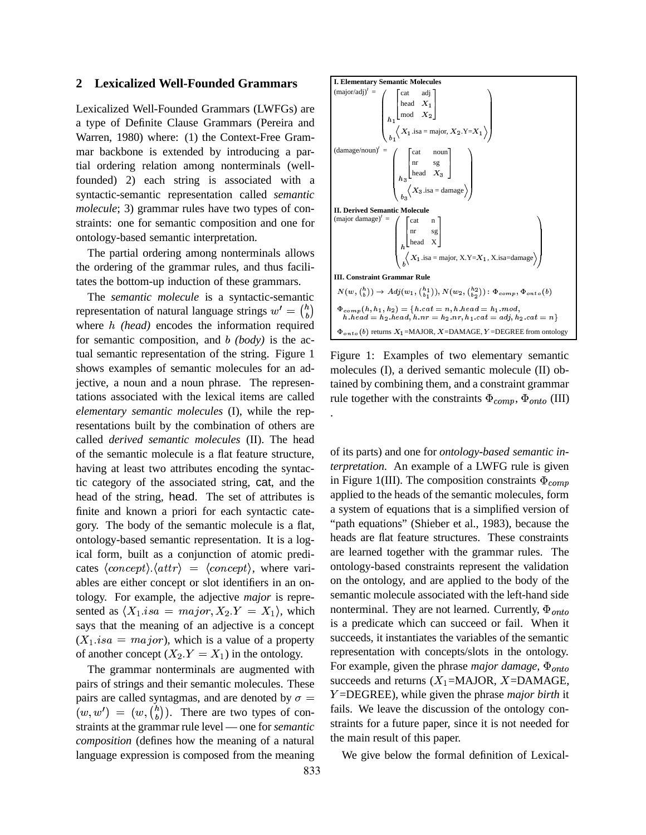#### **2 Lexicalized Well-Founded Grammars**

Lexicalized Well-Founded Grammars (LWFGs) are a type of Definite Clause Grammars (Pereira and Warren, 1980) where: (1) the Context-Free Grammar backbone is extended by introducing a partial ordering relation among nonterminals (wellfounded) 2) each string is associated with a syntactic-semantic representation called *semantic molecule*; 3) grammar rules have two types of constraints: one for semantic composition and one for ontology-based semantic interpretation.

The partial ordering among nonterminals allows the ordering of the grammar rules, and thus facilitates the bottom-up induction of these grammars.

The *semantic molecule* is a syntactic-semantic representation of natural language strings  $w' = \binom{n}{b}$ where h (head) encodes the information required for semantic composition, and *(body)* is the actual semantic representation of the string. Figure 1 shows examples of semantic molecules for an adjective, a noun and a noun phrase. The representations associated with the lexical items are called *elementary semantic molecules* (I), while the representations built by the combination of others are called *derived semantic molecules* (II). The head of the semantic molecule is a flat feature structure, having at least two attributes encoding the syntactic category of the associated string, cat, and the head of the string, head. The set of attributes is finite and known a priori for each syntactic category. The body of the semantic molecule is a flat, ontology-based semantic representation. It is a logical form, built as a conjunction of atomic predicates  $\langle concept \rangle \langle attr \rangle = \langle concept \rangle$ , where variables are either concept or slot identifiers in an ontology. For example, the adjective *major* is represented as  $\langle X_1.isa = major, X_2.Y = X_1 \rangle$ , which says that the meaning of an adjective is a concept  $(X_1.isa = major)$ , which is a value of a property of another concept  $(X_2.Y = X_1)$  in the ontology.

The grammar nonterminals are augmented with pairs of strings and their semantic molecules. These pairs are called syntagmas, and are denoted by  $\sigma =$  $(w, w') = (w, {h \choose h})$ . There are two types of constraints at the grammar rule level — one for *semantic composition* (defines how the meaning of a natural language expression is composed from the meaning



Figure 1: Examples of two elementary semantic molecules (I), a derived semantic molecule (II) obtained by combining them, and a constraint grammar rule together with the constraints  $\Phi_{comp}$ ,  $\Phi_{onto}$  (III) .

of its parts) and one for *ontology-based semantic interpretation*. An example of a LWFG rule is given in Figure 1(III). The composition constraints  $\Phi_{conn}$ applied to the heads of the semantic molecules, form a system of equations that is a simplified version of "path equations" (Shieber et al., 1983), because the heads are flat feature structures. These constraints are learned together with the grammar rules. The ontology-based constraints represent the validation on the ontology, and are applied to the body of the semantic molecule associated with the left-hand side nonterminal. They are not learned. Currently,  $\Phi_{onto}$ is a predicate which can succeed or fail. When it succeeds, it instantiates the variables of the semantic representation with concepts/slots in the ontology. For example, given the phrase *major damage*,  $\Phi_{onto}$ succeeds and returns  $(X_1 = MAJOR, X = DAMAGE,$ ;=DEGREE), while given the phrase *major birth* it fails. We leave the discussion of the ontology constraints for a future paper, since it is not needed for the main result of this paper.

We give below the formal definition of Lexical-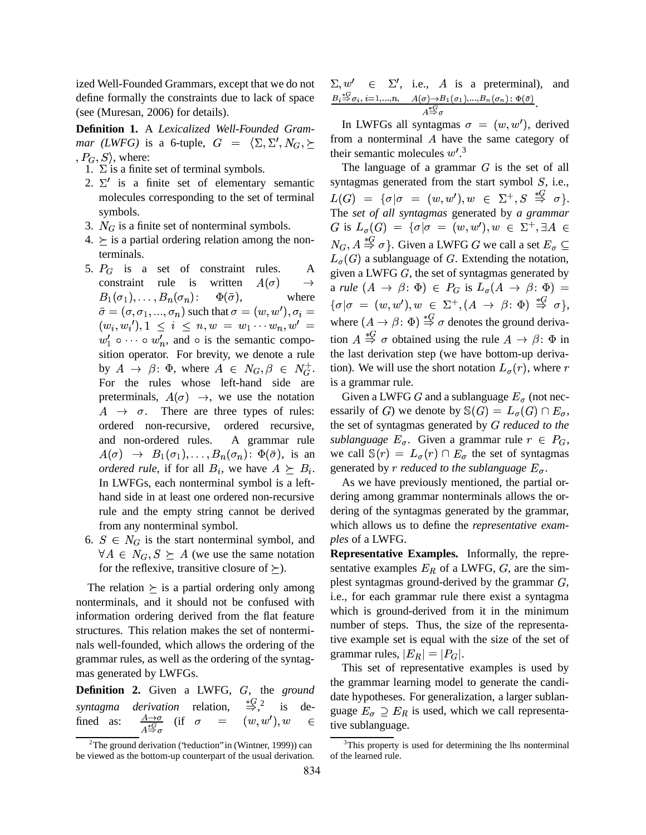ized Well-Founded Grammars, except that we do not define formally the constraints due to lack of space (see (Muresan, 2006) for details).

**Definition 1.** A *Lexicalized Well-Founded Grammar* (LWFG) is a 6-tuple,  $G = \langle \Sigma, \Sigma', N_G \rangle \succeq$  from a no  $P_G, S$ , where:

- 1.  $\Sigma$  is a finite set of terminal symbols.
- 2.  $\Sigma'$  is a finite set of elementary semantic molecules corresponding to the set of terminal symbols.
- 3.  $N_G$  is a finite set of nonterminal symbols.
- $4. \geq$  is a partial ordering relation among the nonterminals.
- 5.  $P_G$  is a set of constraint rules. A constraint rule is written  $A(\sigma) \rightarrow$  $\sigma$  $B_1(\sigma_1), \ldots, B_n(\sigma)$  $(\sigma_1), \ldots, B_n(\sigma_n): \Phi(\bar{\sigma}),$  $\Phi(\bar{\sigma})$  $\sigma_n$ ): Ψίζ , where @ $\alpha = (\sigma, \sigma_1, ..., \sigma_n)$  such that  $\sigma = (w, w'), \sigma_i =$  $(w_i, w_i')$ ,  $1 \le i \le n, w = w_1 \cdots w_n$ ,  $w' =$  Where  $(A$  $w'_1 \circ \cdots \circ w'_n$ , and  $\circ$  is the semantic composition operator. For brevity, we denote a rule by  $A \to \beta: \Phi$ , where  $A \in N_G, \beta \in N_G^+$ . For the rules whose left-hand side are preterminals,  $A(\sigma) \rightarrow$ , we us  $\sigma$ )  $\rightarrow$ , we use the notation  $A \rightarrow \sigma$ . There are three types of rules: ordered non-recursive, ordered recursive, and non-ordered rules. A grammar rule **A A A A**  $\sigma$ )  $\rightarrow$   $B_1(\sigma_1), \ldots, B_n(\sigma_n)$ **A A A A**  $\sigma_1$ ,...,  $B_n(\sigma_n)$ :  $\Phi(\bar{\sigma})$ , is **A A A A**  $\sigma_n$ ):  $\Phi(\bar{\sigma})$ , is an *ordered rule*, if for all  $B_i$ , we have  $A \succeq B_i$ . generated b In LWFGs, each nonterminal symbol is a lefthand side in at least one ordered non-recursive rule and the empty string cannot be derived from any nonterminal symbol.
- 6.  $S \in N_G$  is the start nonterminal symbol, and  $\forall A \in N_G, S \succeq A$  (we use the same notation for the reflexive, transitive closure of  $\succeq$ ).

The relation  $\succeq$  is a partial ordering only among nonterminals, and it should not be confused with information ordering derived from the flat feature structures. This relation makes the set of nonterminals well-founded, which allows the ordering of the grammar rules, as well as the ordering of the syntagmas generated by LWFGs.

**Definition 2.** Given a LWFG, G, the ground *syntagma derivation* relation,  $\Rightarrow$ <sup>2</sup>, is  $\frac{G}{2}$ , is dedefined as:  $\frac{A\rightarrow\sigma}{2C}$  (if  $\sigma$  $\frac{A\rightarrow\sigma}{4\frac{4G}{3}\sigma}$  (if  $\sigma$  =  $(\text{if} \quad \sigma \quad = \quad (w,w'), w \quad \in$ 

 $\Sigma, w' \in \Sigma'$ , i.e., A is a preterminal), and  $B_i \stackrel{*}{\Rightarrow} \sigma_i, i=1,...,n, \quad A(\sigma) \rightarrow$  $A(\sigma)\rightarrow B_1(\sigma_1),...,B_n(\sigma_n)\colon \Phi(\bar{\sigma})$ CHIJ@;K1LC  $A \overset{*}{\Rightarrow} \sigma$ .

In LWFGs all syntagmas  $\sigma = (w, w')$ , derived from a nonterminal A have the same category of their semantic molecules  $w^{\prime}$ .<sup>3</sup>

 $\rightarrow$  a *rule*  $(A \rightarrow \beta : \Phi) \in P_G$  is  $L_{\sigma}(A \rightarrow \beta : \Phi) =$  $\in N_G^+$ . tion). We will use the short notation  $L_{\sigma}(r)$ , where r The language of a grammar  $G$  is the set of all syntagmas generated from the start symbol  $S$ , i.e.,  $L(G) \;\; = \;\; \{\sigma | \sigma \;\; = \;\; (w,w'), w \;\; \in \;\; \Sigma^+, S \;\; \stackrel{*\infty}{\Rightarrow} \;\; \sigma \}.$ The *set of all syntagmas* generated by *a grammar* G is  $L_{\sigma}(G) = {\sigma | \sigma = (w, w'), w \in \Sigma^+, \exists A \in \mathbb{R}^+}$  $N_G, A \stackrel{*G}{\Rightarrow} \sigma$ . Given a LWFG G we call a set  $E_{\sigma} \subseteq$  $L_{\sigma}(G)$  a sublanguage of G. Extending the notation, given a LWFG  $G$ , the set of syntagmas generated by  $\{\sigma|\sigma = (w,w'), w \in \Sigma^+, (A \to \beta: \Phi) \stackrel{*G}{\Rightarrow} \sigma\},$ where  $(A \to \beta: \Phi) \stackrel{\text{def}}{\Rightarrow} \sigma$  denotes the ground derivation  $A \stackrel{* \omega}{\Rightarrow} \sigma$  obtained using the rule  $A \rightarrow \beta$ :  $\Phi$  in the last derivation step (we have bottom-up deriva $r$ ), where  $r$ is a grammar rule.

> we call  $\mathbb{S}(r) = L_{\sigma}(r) \cap E_{\sigma}$  th Given a LWFG G and a sublanguage  $E_{\sigma}$  (not necessarily of G) we denote by  $\mathbb{S}(G) = L_{\sigma}(G) \cap E_{\sigma}$ , <sup>1</sup> <sup>1</sup> the set of syntagmas generated by *reduced to the sublanguage*  $E_{\sigma}$ . Given a grammar rule  $r \in P_G$ , generated by *r reduced to the sublanguage*  $E_{\sigma}$ .  $r \cap E_{\sigma}$  the set of syntagmas

As we have previously mentioned, the partial ordering among grammar nonterminals allows the ordering of the syntagmas generated by the grammar, which allows us to define the *representative examples* of a LWFG.

**Representative Examples.** Informally, the representative examples  $E_R$  of a LWFG,  $G$ , are the simplest syntagmas ground-derived by the grammar  $G$ , i.e., for each grammar rule there exist a syntagma which is ground-derived from it in the minimum number of steps. Thus, the size of the representative example set is equal with the size of the set of grammar rules,  $\vert E_R \vert = \vert P_G \vert.$ 

 $w \in$  tive sublanguage. This set of representative examples is used by the grammar learning model to generate the candidate hypotheses. For generalization, a larger sublanguage  $E_{\sigma} \supseteq E_R$  is used, which we call representa-

<sup>&</sup>lt;sup>2</sup>The ground derivation ('reduction'' in (Wintner, 1999)) can be viewed as the bottom-up counterpart of the usual derivation.

<sup>&</sup>lt;sup>3</sup>This property is used for determining the lhs nonterminal of the learned rule.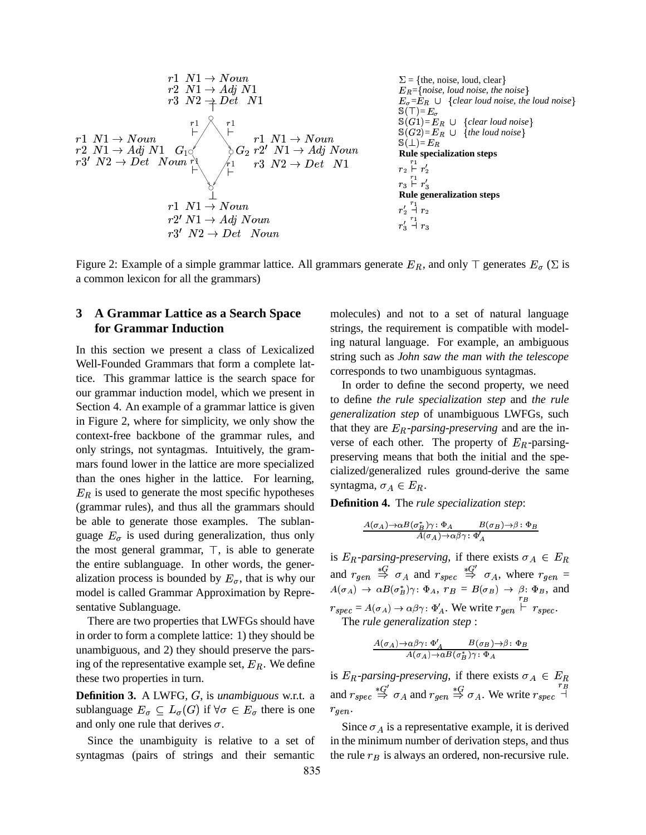

Figure 2: Example of a simple grammar lattice. All grammars generate  $E_R$ , and only  $\top$  generates  $E_{\sigma}$  ( $\Sigma$  is a common lexicon for all the grammars)

## **3 A Grammar Lattice as a Search Space for Grammar Induction**

In this section we present a class of Lexicalized Well-Founded Grammars that form a complete lattice. This grammar lattice is the search space for our grammar induction model, which we present in Section 4. An example of a grammar lattice is given in Figure 2, where for simplicity, we only show the context-free backbone of the grammar rules, and only strings, not syntagmas. Intuitively, the grammars found lower in the lattice are more specialized than the ones higher in the lattice. For learning,  $E_R$  is used to generate the most specific hypotheses (grammar rules), and thus all the grammars should be able to generate those examples. The sublanguage  $E_{\sigma}$  is used during generalization, thus only the most general grammar,  $\top$ , is able to generate the entire sublanguage. In other words, the generalization process is bounded by  $E_{\sigma}$ , that is why our model is called Grammar Approximation by Representative Sublanguage.

There are two properties that LWFGs should have in order to form a complete lattice: 1) they should be unambiguous, and 2) they should preserve the parsing of the representative example set,  $E_R$ . We define these two properties in turn.

**Definition 3.** A LWFG, G, is *unambiguous* w.r.t. a sublanguage  $E_{\sigma} \subseteq L_{\sigma}(G)$  if  $\forall \sigma \in E_{\sigma}$  there is one and only one rule that derives  $\sigma$ .

Since the unambiguity is relative to a set of syntagmas (pairs of strings and their semantic

molecules) and not to a set of natural language strings, the requirement is compatible with modeling natural language. For example, an ambiguous string such as *John saw the man with the telescope* corresponds to two unambiguous syntagmas.

In order to define the second property, we need to define *the rule specialization step* and *the rule generalization step* of unambiguous LWFGs, such that they are  $E_R$ -parsing-preserving and are the inverse of each other. The property of  $E_R$ -parsingpreserving means that both the initial and the specialized/generalized rules ground-derive the same syntagma,  $\sigma_A \in E_R$ .

**Definition 4.** The *rule specialization step*:

$$
\frac{A(\sigma_A) \to \alpha B(\sigma_B^*) \gamma : \Phi_A \qquad B(\sigma_B) \to \beta : \Phi_B}{A(\sigma_A) \to \alpha \beta \gamma : \Phi'_A}
$$

is  $E_R$ -parsing-preserving, if there exists  $\sigma_A \in E_R$ and  $r_{gen} \stackrel{*G}{\Rightarrow} \sigma_A$  and  $r_{spec} \stackrel{*G'}{\Rightarrow} \sigma_A$ , where  $r_{gen} =$  $A(\sigma_A) \rightarrow \alpha B(\sigma_B^*) \gamma$ :  $\Phi_A$ ,  $r_B = B(\sigma_B) \rightarrow \beta$ :  $\Phi_B$ , and  $\sigma_A$ , where  $r_{gen} =$  $r_{spec} = A(\sigma_A) \rightarrow \alpha \beta \gamma : \Phi'_A$ . We write  $r_{gen} \stackrel{r_B}{\vdash} r_{spec}$ .<br>The *rule generalization step* : The rule generalization step:

$$
\frac{A(\sigma_A)\!\!\rightarrow\!\!\alpha\beta\gamma\!:\Phi_A'\qquad B(\sigma_B)\!\rightarrow\!\!\beta\!:\Phi_B}{A(\sigma_A)\!\rightarrow\!\alpha B(\sigma_B^*)\gamma\!:\Phi_A}
$$

is  $E_R$ -parsing-preserving, if there exists  $\sigma_A \in E_R$ and  $r_{spec} \stackrel{*G'}{\Rightarrow} \sigma_A$  and  $r_{gen} \stackrel{*G}{\Rightarrow} \sigma_A$ . We write  $r_{spec} \stackrel{'B}{\rightarrow}$  $\sigma_A$  and  $r_{gen} \stackrel{*G}{\Rightarrow} \sigma_A$ . We write  $r_{spec} \stackrel{r_B}{\rightarrow}$  $r_{gen}$ .

Since  $\sigma_A$  is a representative example, it is derived . in the minimum number of derivation steps, and thus the rule  $r_B$  is always an ordered, non-recursive rule.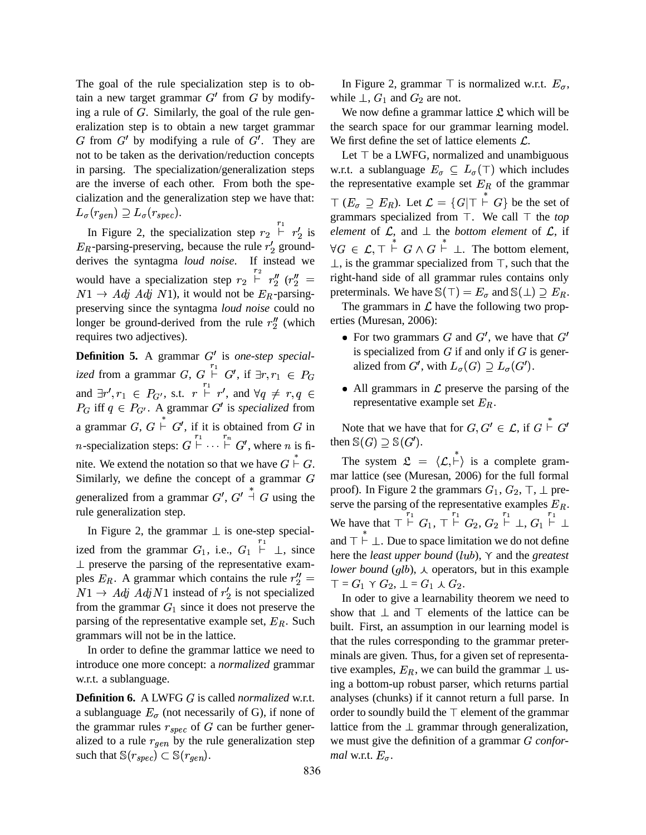The goal of the rule specialization step is to obtain a new target grammar  $G'$  from  $G$  by modifying a rule of  $G$ . Similarly, the goal of the rule generalization step is to obtain a new target grammar G from  $G'$  by modifying a rule of  $G'$ . They are not to be taken as the derivation/reduction concepts in parsing. The specialization/generalization steps are the inverse of each other. From both the specialization and the generalization step we have that:  $L_{\sigma}(r_{gen}) \supseteq L_{\sigma}(r_{spec}).$ 

In Figure 2, the specialization step  $r_2 \overset{r_1}{\vdash} r_2'$  is  $e_i$ 8 $E_R$ -parsing-preserving, because the rule  $r'_2$  ground-8derives the syntagma *loud noise*. If instead we would have a specialization step  $r_2 \stackrel{r_2}{\vdash} r''_2$  ( $r''_2$ )  $r''_2$   $(r''_2 =$  ri  $N1 \rightarrow Adj$  Adj N1), it would not be  $E_R$ -parsingpreserving since the syntagma *loud noise* could no longer be ground-derived from the rule  $r''_2$  (which longer be ground-derived from the rule  $r''_2$  (which requires two adjectives).

**Definition 5.** A grammar G' is *one-step specialized* from a grammar  $G, G \vdash G',$  if  $\exists r, r_1 \in P_G$ and  $\exists r', r_1 \in P_{G'}$ , s.t.  $r \stackrel{r_1}{\vdash} r'$ , and  $\forall q \neq r, q \in \blacksquare$  $P_G$  iff  $q \in P_{G'}$ . A grammar G' is *specialized* from a grammar  $G, G \vdash G'$ , if it is obtained from G in Note th *n*-specialization steps:  $G \overset{r_1}{\vdash} \cdots \overset{r_n}{\vdash} G'$ , where *n* is finite. We extend the notation so that we have  $G \stackrel{*}{\vdash} G$ . Similarly, we define the concept of a grammar  $G$ generalized from a grammar  $G'$ ,  $G'$  + G using the rule generalization step.

In Figure 2, the grammar  $\perp$  is one-step specialized from the grammar  $G_1$ , i.e.,  $G_1 \stackrel{r_1}{\vdash} \perp$ , since  $\perp$  preserve the parsing of the representative examples  $E_R$ . A grammar which contains the rule  $r''_2 = \frac{1}{\tau}$  $N1 \rightarrow Adj$   $Adj$  N1 instead of  $r'_2$  is not specialized 8from the grammar  $G_1$  since it does not preserve the parsing of the representative example set,  $E_R$ . Such grammars will not be in the lattice.

In order to define the grammar lattice we need to introduce one more concept: a *normalized* grammar w.r.t. a sublanguage.

**Definition 6.** A LWFG is called *normalized* w.r.t. a sublanguage  $E_{\sigma}$  (not necessarily of G), if none of the grammar rules  $r_{spec}$  of  $G$  can be further generalized to a rule  $r_{gen}$  by the rule generalization step such that  $\mathbb{S}(r_{spec}) \subset \mathbb{S}(r_{gen})$ .

In Figure 2, grammar  $\top$  is normalized w.r.t.  $E_{\sigma}$ , while  $\perp$ ,  $G_1$  and  $G_2$  are not.

We now define a grammar lattice  $\mathfrak L$  which will be the search space for our grammar learning model. We first define the set of lattice elements  $\mathcal{L}$ .

*element* of  $\mathcal{L}$ , and  $\perp$  the *bottom element* of  $\mathcal{L}$ , if  $=$  right-hand side of all grammar rules contains only Let  $\top$  be a LWFG, normalized and unambiguous w.r.t. a sublanguage  $E_{\sigma} \subseteq L_{\sigma}(\top)$  which includes the representative example set  $E_R$  of the grammar  $\top (E_{\sigma} \supseteq E_R)$ . Let  $\mathcal{L} = \{G | \top \vdash G\}$  be the set of grammars specialized from  $\top$ . We call  $\top$  the *top*  $\forall G \in \mathcal{L}, \top \vdash G \land G \vdash \bot$ . The bottom element,  $\perp$ , is the grammar specialized from  $\top$ , such that the preterminals. We have  $\mathbb{S}(\top) = E_{\sigma}$  and  $\mathbb{S}(\perp) \supseteq E_R$ .

The grammars in  $\mathcal L$  have the following two properties (Muresan, 2006):

- For two grammars G and  $G'$ , we have that  $G'$ is specialized from  $G$  if and only if  $G$  is generalized from G', with  $L_{\sigma}(G) \supseteq L_{\sigma}(G')$ .
- All grammars in  $\mathcal L$  preserve the parsing of the representative example set  $E_R$ .

Note that we have that for  $G, G' \in \mathcal{L}$ , if  $G \rvert^* G'$ then  $\mathbb{S}(G) \supseteq \mathbb{S}(G')$ .

 $\overline{\phantom{a}}$   $\top$  =  $G_1 \curlyvee G_2$ ,  $\bot$  =  $G_1 \curlywedge G_2$ . The system  $\mathfrak{L} = \langle \mathcal{L}, \vdash \rangle$  is a complete grammar lattice (see (Muresan, 2006) for the full formal proof). In Figure 2 the grammars  $G_1, G_2, \top, \bot$  preserve the parsing of the representative examples  $E_R$ . We have that  $\top \vdash^{r_1} G_1, \top \vdash^{r_1} G_2, G_2 \vdash^{r_1} \bot, G_1 \vdash \bot$ and  $\top \vdash \bot$ . Due to space limitation we do not define here the *least upper bound*  $(lub)$ ,  $\gamma$  and the *greatest lower bound*  $(qlb)$ ,  $\lambda$  operators, but in this example

In oder to give a learnability theorem we need to show that  $\perp$  and  $\top$  elements of the lattice can be built. First, an assumption in our learning model is that the rules corresponding to the grammar preterminals are given. Thus, for a given set of representative examples,  $E_R$ , we can build the grammar  $\perp$  using a bottom-up robust parser, which returns partial analyses (chunks) if it cannot return a full parse. In order to soundly build the  $\top$  element of the grammar lattice from the  $\perp$  grammar through generalization, we must give the definition of a grammar *G* confor*mal* w.r.t.  $E_{\sigma}$ .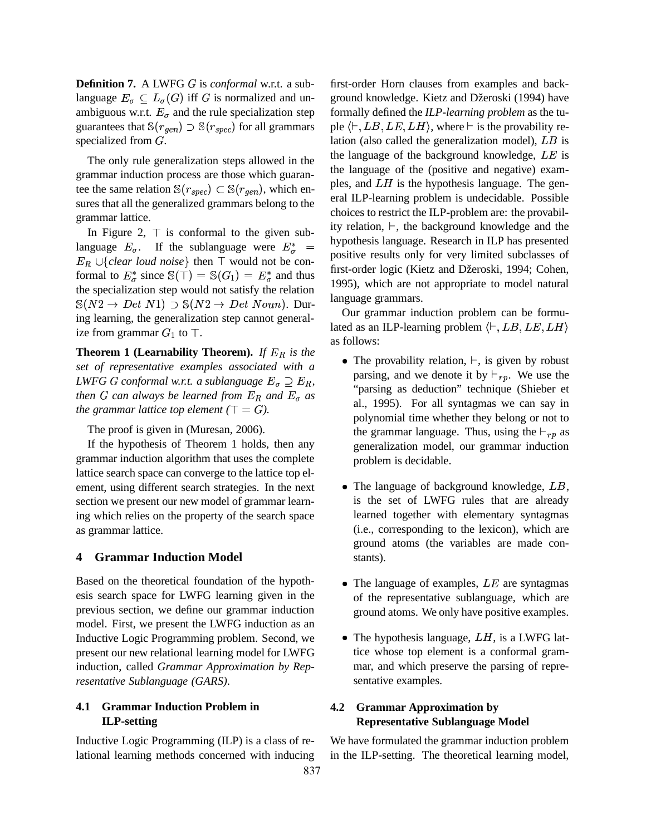**Definition 7.** A LWFG is *conformal* w.r.t. a sublanguage  $E_{\sigma} \subseteq L_{\sigma}(G)$  iff G is normalized and unambiguous w.r.t.  $E_{\sigma}$  and the rule specialization step guarantees that  $\mathbb{S}(r_{gen}) \supset \mathbb{S}(r_{spec})$  for all grammars specialized from  $G$ .

The only rule generalization steps allowed in the grammar induction process are those which guarantee the same relation  $\mathbb{S}(r_{spec}) \subset \mathbb{S}(r_{gen})$ , which  $(r_{gen})$ , which ensures that all the generalized grammars belong to the grammar lattice.

In Figure 2,  $\top$  is conformal to the given sublanguage  $E_{\sigma}$ . If the sublanguage were  $E_{\sigma}^* = \begin{array}{c} \text{hypuncars} \\ \text{positive} \end{array}$  $E_R \cup \{clear\ loud\ noise\}$  then  $\top$  would not be conformal to  $E^*_{\sigma}$  since  $\mathbb{S}(\top) = \mathbb{S}(G_1) = E^*_{\sigma}$  and thus the specialization step would not satisfy the relation  $\mathbb{S}(N2 \to Det N1) \supset \mathbb{S}(N2 \to Det Noun)$ . During learning, the generalization step cannot generalize from grammar  $G_1$  to  $\top$ .

**Theorem 1 (Learnability Theorem).** *If*  $E_R$  *is the set of representative examples associated with a*  $LWFGG$  conformal w.r.t. a sublanguage  $E_{\sigma} \supseteq E_R$ , *then G* can always be learned from  $E_R$  and  $E_{\sigma}$  as  $\qquad \qquad$ <sup>241</sup> *the grammar lattice top element*  $(\top = G)$ .

The proof is given in (Muresan, 2006).

If the hypothesis of Theorem 1 holds, then any grammar induction algorithm that uses the complete lattice search space can converge to the lattice top element, using different search strategies. In the next section we present our new model of grammar learning which relies on the property of the search space as grammar lattice.

## **4 Grammar Induction Model**

Based on the theoretical foundation of the hypothesis search space for LWFG learning given in the previous section, we define our grammar induction model. First, we present the LWFG induction as an Inductive Logic Programming problem. Second, we present our new relational learning model for LWFG induction, called *Grammar Approximation by Representative Sublanguage (GARS)*.

## **4.1 Grammar Induction Problem in ILP-setting**

Inductive Logic Programming (ILP) is a class of relational learning methods concerned with inducing first-order Horn clauses from examples and background knowledge. Kietz and Džeroski (1994) have formally defined the *ILP-learning problem* as the tuple  $\langle \vdash, LB, LE, LH \rangle$ , where  $\vdash$  is the provability relation (also called the generalization model),  $LB$  is the language of the background knowledge,  $LE$  is the language of the (positive and negative) examples, and  $LH$  is the hypothesis language. The general ILP-learning problem is undecidable. Possible choices to restrict the ILP-problem are: the provability relation,  $\vdash$ , the background knowledge and the hypothesis language. Research in ILP has presented positive results only for very limited subclasses of first-order logic (Kietz and Džeroski, 1994; Cohen, 1995), which are not appropriate to model natural language grammars.

Our grammar induction problem can be formulated as an ILP-learning problem  $\langle \vdash, LB, LE, LH \rangle$ as follows:

- The provability relation,  $\vdash$ , is given by robust parsing, and we denote it by  $\vdash_{rp}$ . We use the "parsing as deduction" technique (Shieber et al., 1995). For all syntagmas we can say in polynomial time whether they belong or not to the grammar language. Thus, using the  $\vdash_{rp}$  as generalization model, our grammar induction problem is decidable.
- The language of background knowledge,  $LB$ , is the set of LWFG rules that are already learned together with elementary syntagmas (i.e., corresponding to the lexicon), which are ground atoms (the variables are made constants).
- The language of examples,  $LE$  are syntagmas of the representative sublanguage, which are ground atoms. We only have positive examples.
- The hypothesis language,  $LH$ , is a LWFG lattice whose top element is a conformal grammar, and which preserve the parsing of representative examples.

## **4.2 Grammar Approximation by Representative Sublanguage Model**

We have formulated the grammar induction problem in the ILP-setting. The theoretical learning model,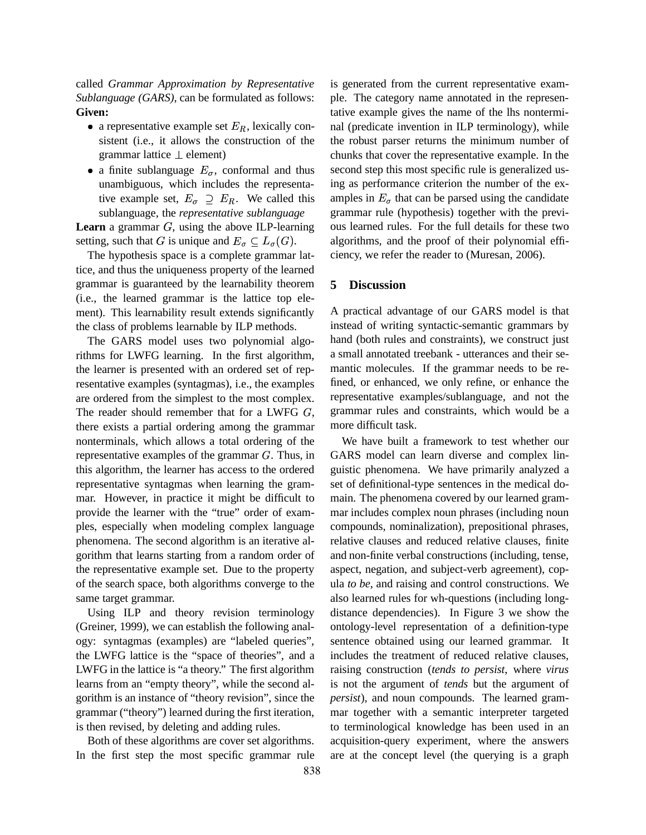called *Grammar Approximation by Representative Sublanguage (GARS)*, can be formulated as follows: **Given:**

- a representative example set  $E_R$ , lexically consistent (i.e., it allows the construction of the grammar lattice  $\perp$  element)
- a finite sublanguage  $E_{\sigma}$ , conformal and thus unambiguous, which includes the representative example set,  $E_{\sigma} \supseteq E_R$ . We called this sublanguage, the *representative sublanguage*

**Learn** a grammar  $G$ , using the above ILP-learning setting, such that G is unique and  $E_{\sigma} \subseteq L_{\sigma}(G)$ .  $\qquad \epsilon$ 

The hypothesis space is a complete grammar lattice, and thus the uniqueness property of the learned grammar is guaranteed by the learnability theorem (i.e., the learned grammar is the lattice top element). This learnability result extends significantly the class of problems learnable by ILP methods.

The GARS model uses two polynomial algorithms for LWFG learning. In the first algorithm, the learner is presented with an ordered set of representative examples (syntagmas), i.e., the examples are ordered from the simplest to the most complex. The reader should remember that for a LWFG  $G$ , there exists a partial ordering among the grammar nonterminals, which allows a total ordering of the representative examples of the grammar  $G$ . Thus, in this algorithm, the learner has access to the ordered representative syntagmas when learning the grammar. However, in practice it might be difficult to provide the learner with the "true" order of examples, especially when modeling complex language phenomena. The second algorithm is an iterative algorithm that learns starting from a random order of the representative example set. Due to the property of the search space, both algorithms converge to the same target grammar.

Using ILP and theory revision terminology (Greiner, 1999), we can establish the following analogy: syntagmas (examples) are "labeled queries", the LWFG lattice is the "space of theories", and a LWFG in the lattice is "a theory." The first algorithm learns from an "empty theory", while the second algorithm is an instance of "theory revision", since the grammar ("theory") learned during the first iteration, is then revised, by deleting and adding rules.

Both of these algorithms are cover set algorithms. In the first step the most specific grammar rule is generated from the current representative example. The category name annotated in the representative example gives the name of the lhs nonterminal (predicate invention in ILP terminology), while the robust parser returns the minimum number of chunks that cover the representative example. In the second step this most specific rule is generalized using as performance criterion the number of the examples in  $E_{\sigma}$  that can be parsed using the candidate grammar rule (hypothesis) together with the previous learned rules. For the full details for these two algorithms, and the proof of their polynomial efficiency, we refer the reader to (Muresan, 2006).

#### **5 Discussion**

A practical advantage of our GARS model is that instead of writing syntactic-semantic grammars by hand (both rules and constraints), we construct just a small annotated treebank - utterances and their semantic molecules. If the grammar needs to be refined, or enhanced, we only refine, or enhance the representative examples/sublanguage, and not the grammar rules and constraints, which would be a more difficult task.

We have built a framework to test whether our GARS model can learn diverse and complex linguistic phenomena. We have primarily analyzed a set of definitional-type sentences in the medical domain. The phenomena covered by our learned grammar includes complex noun phrases (including noun compounds, nominalization), prepositional phrases, relative clauses and reduced relative clauses, finite and non-finite verbal constructions (including, tense, aspect, negation, and subject-verb agreement), copula *to be*, and raising and control constructions. We also learned rules for wh-questions (including longdistance dependencies). In Figure 3 we show the ontology-level representation of a definition-type sentence obtained using our learned grammar. It includes the treatment of reduced relative clauses, raising construction (*tends to persist*, where *virus* is not the argument of *tends* but the argument of *persist*), and noun compounds. The learned grammar together with a semantic interpreter targeted to terminological knowledge has been used in an acquisition-query experiment, where the answers are at the concept level (the querying is a graph